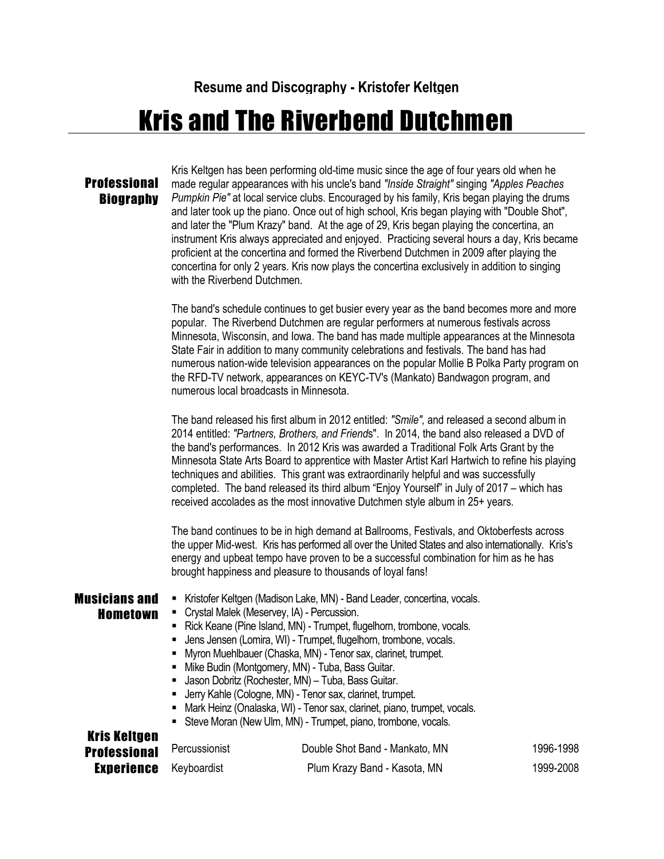**Resume and Discography - Kristofer Keltgen**

## Kris and The Riverbend Dutchmen

## **Professional Biography**

Kris Keltgen has been performing old-time music since the age of four years old when he made regular appearances with his uncle's band *"Inside Straight"* singing *"Apples Peaches Pumpkin Pie"* at local service clubs. Encouraged by his family, Kris began playing the drums and later took up the piano. Once out of high school, Kris began playing with "Double Shot". and later the "Plum Krazy" band. At the age of 29, Kris began playing the concertina, an instrument Kris always appreciated and enjoyed. Practicing several hours a day, Kris became proficient at the concertina and formed the Riverbend Dutchmen in 2009 after playing the concertina for only 2 years. Kris now plays the concertina exclusively in addition to singing with the Riverbend Dutchmen.

The band's schedule continues to get busier every year as the band becomes more and more popular. The Riverbend Dutchmen are regular performers at numerous festivals across Minnesota, Wisconsin, and Iowa. The band has made multiple appearances at the Minnesota State Fair in addition to many community celebrations and festivals. The band has had numerous nation-wide television appearances on the popular Mollie B Polka Party program on the RFD-TV network, appearances on KEYC-TV's (Mankato) Bandwagon program, and numerous local broadcasts in Minnesota.

The band released his first album in 2012 entitled: *"Smile",* and released a second album in 2014 entitled: *"Partners, Brothers, and Friend*s". In 2014, the band also released a DVD of the band's performances. In 2012 Kris was awarded a Traditional Folk Arts Grant by the Minnesota State Arts Board to apprentice with Master Artist Karl Hartwich to refine his playing techniques and abilities. This grant was extraordinarily helpful and was successfully completed. The band released its third album "Enjoy Yourself" in July of 2017 – which has received accolades as the most innovative Dutchmen style album in 25+ years.

The band continues to be in high demand at Ballrooms, Festivals, and Oktoberfests across the upper Mid-west. Kris has performed all over the United States and also internationally. Kris's energy and upbeat tempo have proven to be a successful combination for him as he has brought happiness and pleasure to thousands of loyal fans!

Musicians and Hometown

Krie Keltae

- **E** Kristofer Keltgen (Madison Lake, MN) Band Leader, concertina, vocals.
- Crystal Malek (Meservey, IA) Percussion.
- Rick Keane (Pine Island, MN) Trumpet, flugelhorn, trombone, vocals.
- **■** Jens Jensen (Lomira, WI) Trumpet, flugelhorn, trombone, vocals.
- Myron Muehlbauer (Chaska, MN) Tenor sax, clarinet, trumpet.
- **E** Mike Budin (Montgomery, MN) Tuba, Bass Guitar.
- **■** Jason Dobritz (Rochester, MN) Tuba, Bass Guitar.
- Jerry Kahle (Cologne, MN) Tenor sax, clarinet, trumpet.
- Mark Heinz (Onalaska, WI) Tenor sax, clarinet, piano, trumpet, vocals.
- **E** Steve Moran (New Ulm, MN) Trumpet, piano, trombone, vocals.

| RIIS RGILYGII<br>Professional <sup>Percussionist</sup> | Double Shot Band - Mankato, MN | 1996-1998 |
|--------------------------------------------------------|--------------------------------|-----------|
| <b>Experience</b> Keyboardist                          | Plum Krazy Band - Kasota, MN   | 1999-2008 |